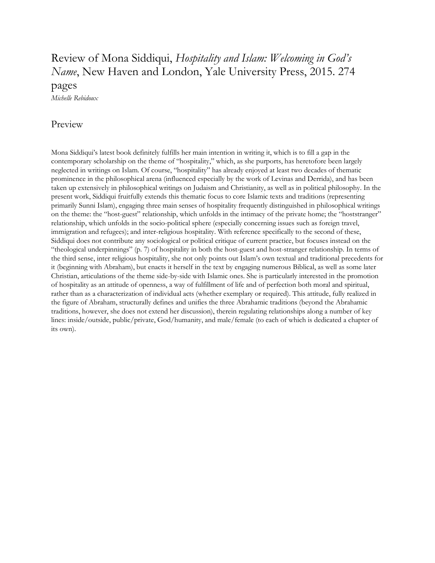## Review of Mona Siddiqui, *Hospitality and Islam: Welcoming in God's Name*, New Haven and London, Yale University Press, 2015. 274 pages

*Michelle Rebidoux*

## Preview

Mona Siddiqui's latest book definitely fulfills her main intention in writing it, which is to fill a gap in the contemporary scholarship on the theme of "hospitality," which, as she purports, has heretofore been largely neglected in writings on Islam. Of course, "hospitality" has already enjoyed at least two decades of thematic prominence in the philosophical arena (influenced especially by the work of Levinas and Derrida), and has been taken up extensively in philosophical writings on Judaism and Christianity, as well as in political philosophy. In the present work, Siddiqui fruitfully extends this thematic focus to core Islamic texts and traditions (representing primarily Sunni Islam), engaging three main senses of hospitality frequently distinguished in philosophical writings on the theme: the "host-guest" relationship, which unfolds in the intimacy of the private home; the "hoststranger" relationship, which unfolds in the socio-political sphere (especially concerning issues such as foreign travel, immigration and refugees); and inter-religious hospitality. With reference specifically to the second of these, Siddiqui does not contribute any sociological or political critique of current practice, but focuses instead on the "theological underpinnings" (p. 7) of hospitality in both the host-guest and host-stranger relationship. In terms of the third sense, inter religious hospitality, she not only points out Islam's own textual and traditional precedents for it (beginning with Abraham), but enacts it herself in the text by engaging numerous Biblical, as well as some later Christian, articulations of the theme side-by-side with Islamic ones. She is particularly interested in the promotion of hospitality as an attitude of openness, a way of fulfillment of life and of perfection both moral and spiritual, rather than as a characterization of individual acts (whether exemplary or required). This attitude, fully realized in the figure of Abraham, structurally defines and unifies the three Abrahamic traditions (beyond the Abrahamic traditions, however, she does not extend her discussion), therein regulating relationships along a number of key lines: inside/outside, public/private, God/humanity, and male/female (to each of which is dedicated a chapter of its own).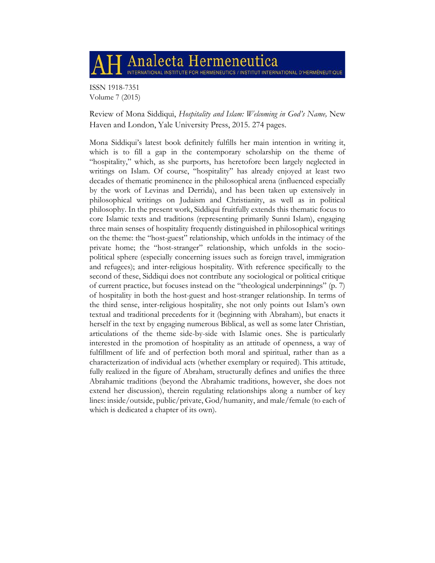Analecta Hermeneutica INTERNATIONAL INSTITUTE FOR HERMENEUTICS / INSTITUT INTERNATIONAL D'HERMÉNEUTIQUE

ISSN 1918-7351 Volume 7 (2015)

Review of Mona Siddiqui, *Hospitality and Islam: Welcoming in God's Name,* New Haven and London, Yale University Press, 2015. 274 pages.

Mona Siddiqui's latest book definitely fulfills her main intention in writing it, which is to fill a gap in the contemporary scholarship on the theme of "hospitality," which, as she purports, has heretofore been largely neglected in writings on Islam. Of course, "hospitality" has already enjoyed at least two decades of thematic prominence in the philosophical arena (influenced especially by the work of Levinas and Derrida), and has been taken up extensively in philosophical writings on Judaism and Christianity, as well as in political philosophy. In the present work, Siddiqui fruitfully extends this thematic focus to core Islamic texts and traditions (representing primarily Sunni Islam), engaging three main senses of hospitality frequently distinguished in philosophical writings on the theme: the "host-guest" relationship, which unfolds in the intimacy of the private home; the "host-stranger" relationship, which unfolds in the sociopolitical sphere (especially concerning issues such as foreign travel, immigration and refugees); and inter-religious hospitality. With reference specifically to the second of these, Siddiqui does not contribute any sociological or political critique of current practice, but focuses instead on the "theological underpinnings" (p. 7) of hospitality in both the host-guest and host-stranger relationship. In terms of the third sense, inter-religious hospitality, she not only points out Islam's own textual and traditional precedents for it (beginning with Abraham), but enacts it herself in the text by engaging numerous Biblical, as well as some later Christian, articulations of the theme side-by-side with Islamic ones. She is particularly interested in the promotion of hospitality as an attitude of openness, a way of fulfillment of life and of perfection both moral and spiritual, rather than as a characterization of individual acts (whether exemplary or required). This attitude, fully realized in the figure of Abraham, structurally defines and unifies the three Abrahamic traditions (beyond the Abrahamic traditions, however, she does not extend her discussion), therein regulating relationships along a number of key lines: inside/outside, public/private, God/humanity, and male/female (to each of which is dedicated a chapter of its own).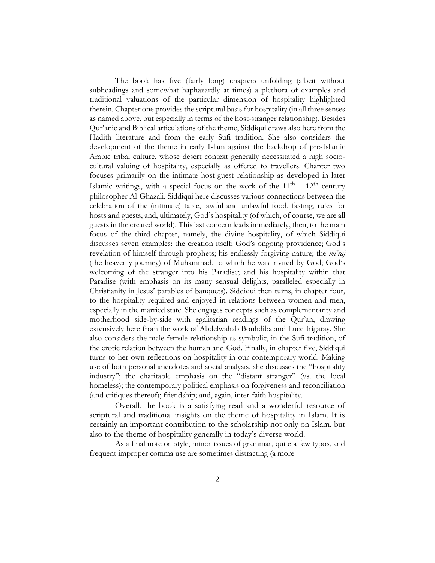The book has five (fairly long) chapters unfolding (albeit without subheadings and somewhat haphazardly at times) a plethora of examples and traditional valuations of the particular dimension of hospitality highlighted therein. Chapter one provides the scriptural basis for hospitality (in all three senses as named above, but especially in terms of the host-stranger relationship). Besides Qur'anic and Biblical articulations of the theme, Siddiqui draws also here from the Hadith literature and from the early Sufi tradition. She also considers the development of the theme in early Islam against the backdrop of pre-Islamic Arabic tribal culture, whose desert context generally necessitated a high sociocultural valuing of hospitality, especially as offered to travellers. Chapter two focuses primarily on the intimate host-guest relationship as developed in later Islamic writings, with a special focus on the work of the  $11<sup>th</sup> - 12<sup>th</sup>$  century philosopher Al-Ghazali. Siddiqui here discusses various connections between the celebration of the (intimate) table, lawful and unlawful food, fasting, rules for hosts and guests, and, ultimately, God's hospitality (of which, of course, we are all guests in the created world). This last concern leads immediately, then, to the main focus of the third chapter, namely, the divine hospitality, of which Siddiqui discusses seven examples: the creation itself; God's ongoing providence; God's revelation of himself through prophets; his endlessly forgiving nature; the *mi'raj* (the heavenly journey) of Muhammad, to which he was invited by God; God's welcoming of the stranger into his Paradise; and his hospitality within that Paradise (with emphasis on its many sensual delights, paralleled especially in Christianity in Jesus' parables of banquets). Siddiqui then turns, in chapter four, to the hospitality required and enjoyed in relations between women and men, especially in the married state. She engages concepts such as complementarity and motherhood side-by-side with egalitarian readings of the Qur'an, drawing extensively here from the work of Abdelwahab Bouhdiba and Luce Irigaray. She also considers the male-female relationship as symbolic, in the Sufi tradition, of the erotic relation between the human and God. Finally, in chapter five, Siddiqui turns to her own reflections on hospitality in our contemporary world. Making use of both personal anecdotes and social analysis, she discusses the "hospitality industry"; the charitable emphasis on the "distant stranger" (vs. the local homeless); the contemporary political emphasis on forgiveness and reconciliation (and critiques thereof); friendship; and, again, inter-faith hospitality.

Overall, the book is a satisfying read and a wonderful resource of scriptural and traditional insights on the theme of hospitality in Islam. It is certainly an important contribution to the scholarship not only on Islam, but also to the theme of hospitality generally in today's diverse world.

As a final note on style, minor issues of grammar, quite a few typos, and frequent improper comma use are sometimes distracting (a more